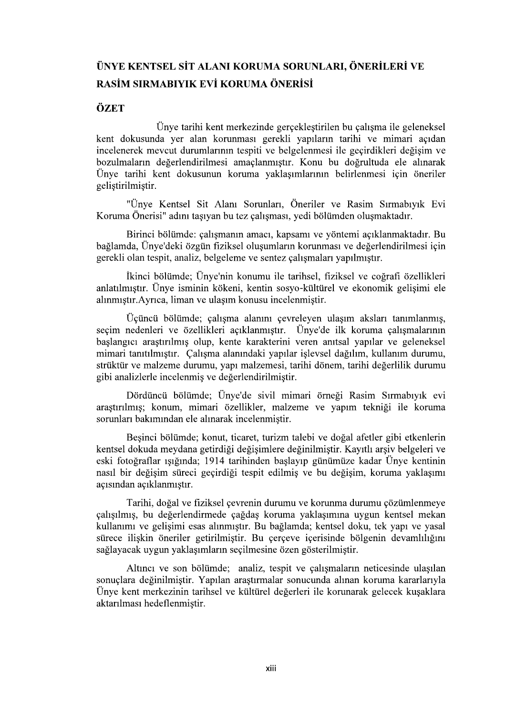## ÜNYE KENTSEL SİT ALANI KORUMA SORUNLARI, ÖNERİLERİ VE RASİM SIRMABIYIK EVİ KORUMA ÖNERİSİ

## ÖZET

Ünye tarihi kent merkezinde gerçekleştirilen bu çalışma ile geleneksel<br>kent dokusunda yer alan korunması gerekli yapıların tarihi ve mimari açıdan<br>incelenerek mevcut durumlarının tespiti ve belgelenmesi ile geçirdikleri de bozulmaların değerlendirilmesi amaçlanmıştır. Konu bu doğrultuda ele alınarak Ünye tarihi kent dokusunun koruma yaklasımlarının belirlenmesi için öneriler geliştirilmiştir.

"Ünye Kentsel Sit Alanı Sorunları, Öneriler ve Rasim Sırmabıyık Evi Koruma Önerisi" adını taşıyan bu tez çalışması, yedi bölümden oluşmaktadır.

Birinci bölümde: çalışmanın amacı, kapsamı ve yöntemi açıklanmaktadır. Bu bağlamda, Ünye'deki özgün fiziksel oluşumların korunması ve değerlendirilmesi için gerekli olan tespit, analiz, belgeleme ve sentez çalışmaları yapılmıştır.

İkinci bölümde; Ünye'nin konumu ile tarihsel, fiziksel ve coğrafi özellikleri anlatılmıştır. Ünye isminin kökeni, kentin sosyo-kültürel ve ekonomik gelişimi ele r.

Üçüncü bölümde; çalışma alanını çevreleyen ulaşım aksları tanımlanmış, seçim nedenleri ve özellikleri açıklanmıştır. Ünye'de ilk koruma çalışmalarının başlangıcı araştırılmış olup, kente karakterini veren anıtsal yapılar ve geleneksel mimari tanıtılmıştır. Çalışma alanındaki yapılar işlevsel dağılım, kullanım durumu, strüktür ve malzeme durumu, yapı malzemesi, tarihi dönem, tarihi değerlilik durumu gibi analizlerle incelenmis ve değerlendirilmiştir.

Dördüncü bölümde; Ünye'de sivil mimari örneği Rasim Sırmabıyık evi araştırılmış; konum, mimari özellikler, malzeme ve yapım tekniği ile koruma sorunları bakımından ele alınarak incelenmistir.

Beşinci bölümde; konut, ticaret, turizm talebi ve doğal afetler gibi etkenlerin kentsel dokuda meydana getirdiği değişimlere değinilmiştir. Kayıtlı arşiv belgeleri ve eski fotoğraflar ışığında; 1914 tarihinden başlayıp günümüze kadar Ünye kentinin nasıl bir değişim süreci geçirdiği tespit edilmiş ve bu değişim, koruma yaklaşımı açısından açıklanmıştır.

Tarihi, doğal ve fiziksel çevrenin durumu ve korunma durumu çözümlenmeye çalışılmış, bu değerlendirmede çağdaş koruma yaklaşımına uygun kentsel mekan kullanımı ve gelişimi esas alınmıştır. Bu bağlamda; kentsel doku, tek yapı ve yasal sürece ilişkin öneriler getirilmiştir. Bu çerçeve içerisinde bölgenin devamlılığını sağlayacak uygun yaklaşımların seçilmesine özen gösterilmiştir.

Altıncı ve son bölümde; analiz, tespit ve çalışmaların neticesinde ulaşılan sonuçlara değinilmiştir. Yapılan araştırmalar sonucunda alınan koruma kararlarıyla Ünye kent merkezinin tarihsel ve kültürel değerleri ile korunarak gelecek kusaklara aktarılması hedeflenmiştir.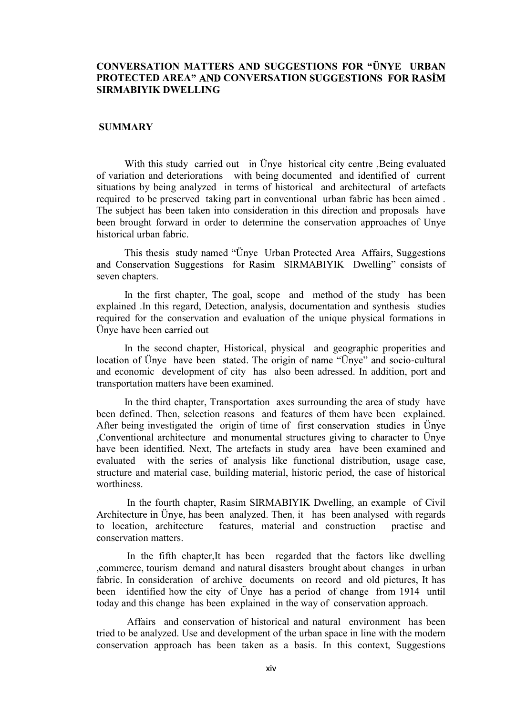## CONVERSATION MATTERS AND SUGGESTIONS FOR "ÜNYE URBAN PROTECTED AREA" AND CONVERSATION SUGGESTIONS FOR RASIM SIRMABIYIK DWELLING

## **SUMMARY**

With this study carried out in Ünye historical city centre , Being evaluated of variation and deteriorations with being documented and identified of current situations by being analyzed in terms of historical and architectural of artefacts required to be preserved taking part in conventional urban fabric has been aimed . The subject has been taken into consideration in this direction and proposals have been brought forward in order to determine the conservation approaches of Unye historical urban fabric. With this study carried out in Unye historical city centre .Being cvaluated<br>of variations by being analyzed in terms of historical and architectural of archest<br>setuations by being analyzed in terms of historical and archit

This thesis study named "Ünye Urban Protected Area Affairs, Suggestions and Conservation Suggestions for Rasim SIRMABIYIK Dwelling" consists of seven chapters.

 In the first chapter, The goal, scope and method of the study has been explained .In this regard, Detection, analysis, documentation and synthesis studies required for the conservation and evaluation of the unique physical formations in

 In the second chapter, Historical, physical and geographic properities and location of Ünye have been stated. The origin of name "Ünye" and socio-cultural transportation matters have been examined.

 In the third chapter, Transportation axes surrounding the area of study have been defined. Then, selection reasons and features of them have been explained. After being investigated the origin of time of first conservation studies in Unye , Conventional architecture and monumental structures giving to character to Unye have been identified. Next, The artefacts in study area have been examined and evaluated with the series of analysis like functional distribution, usage case, structure and material case, building material, historic period, the case of historical worthiness.

 In the fourth chapter, Rasim SIRMABIYIK Dwelling, an example of Civil Architecture in Ünye, has been analyzed. Then, it has been analysed with regards to location, architecture features, material and construction practise and conservation matters.

 In the fifth chapter,It has been regarded that the factors like dwelling ,commerce, tourism demand and natural disasters brought about changes in urban fabric. In consideration of archive documents on record and old pictures, It has been identified how the city of Ünye has a period of change from 1914 until today and this change has been explained in the way of conservation approach.

 Affairs and conservation of historical and natural environment has been tried to be analyzed. Use and development of the urban space in line with the modern conservation approach has been taken as a basis. In this context, Suggestions